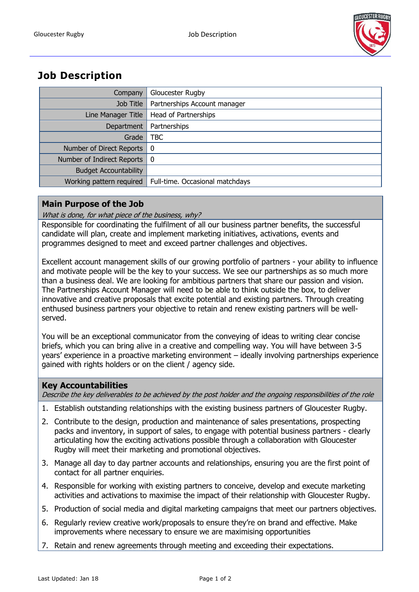

# **Job Description**

| Company                      | Gloucester Rugby                |
|------------------------------|---------------------------------|
| Job Title                    | Partnerships Account manager    |
| Line Manager Title           | <b>Head of Partnerships</b>     |
| Department                   | Partnerships                    |
| Grade                        | <b>TBC</b>                      |
| Number of Direct Reports     | - 0                             |
| Number of Indirect Reports   | - 0                             |
| <b>Budget Accountability</b> |                                 |
| Working pattern required     | Full-time. Occasional matchdays |

### **Main Purpose of the Job**

What is done, for what piece of the business, why?

Responsible for coordinating the fulfilment of all our business partner benefits, the successful candidate will plan, create and implement marketing initiatives, activations, events and programmes designed to meet and exceed partner challenges and objectives.

Excellent account management skills of our growing portfolio of partners - your ability to influence and motivate people will be the key to your success. We see our partnerships as so much more than a business deal. We are looking for ambitious partners that share our passion and vision. The Partnerships Account Manager will need to be able to think outside the box, to deliver innovative and creative proposals that excite potential and existing partners. Through creating enthused business partners your objective to retain and renew existing partners will be wellserved.

You will be an exceptional communicator from the conveying of ideas to writing clear concise briefs, which you can bring alive in a creative and compelling way. You will have between 3-5 years' experience in a proactive marketing environment – ideally involving partnerships experience gained with rights holders or on the client / agency side.

#### **Key Accountabilities**

Describe the key deliverables to be achieved by the post holder and the ongoing responsibilities of the role

- 1. Establish outstanding relationships with the existing business partners of Gloucester Rugby.
- 2. Contribute to the design, production and maintenance of sales presentations, prospecting packs and inventory, in support of sales, to engage with potential business partners - clearly articulating how the exciting activations possible through a collaboration with Gloucester Rugby will meet their marketing and promotional objectives.
- 3. Manage all day to day partner accounts and relationships, ensuring you are the first point of contact for all partner enquiries.
- 4. Responsible for working with existing partners to conceive, develop and execute marketing activities and activations to maximise the impact of their relationship with Gloucester Rugby.
- 5. Production of social media and digital marketing campaigns that meet our partners objectives.
- 6. Regularly review creative work/proposals to ensure they're on brand and effective. Make improvements where necessary to ensure we are maximising opportunities
- 7. Retain and renew agreements through meeting and exceeding their expectations.